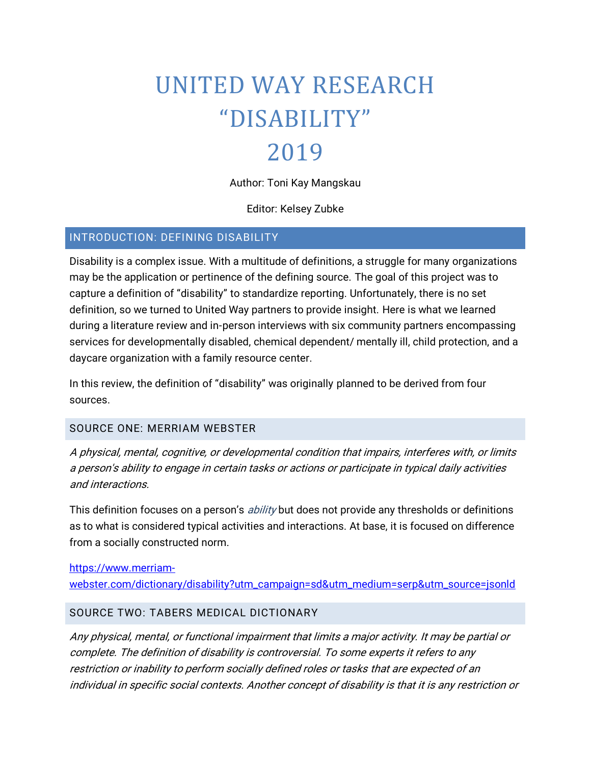# UNITED WAY RESEARCH "DISABILITY" 2019

# Author: Toni Kay Mangskau

Editor: Kelsey Zubke

#### INTRODUCTION: DEFINING DISABILITY

Disability is a complex issue. With a multitude of definitions, a struggle for many organizations may be the application or pertinence of the defining source. The goal of this project was to capture a definition of "disability" to standardize reporting. Unfortunately, there is no set definition, so we turned to United Way partners to provide insight. Here is what we learned during a literature review and in-person interviews with six community partners encompassing services for developmentally disabled, chemical dependent/ mentally ill, child protection, and a daycare organization with a family resource center.

In this review, the definition of "disability" was originally planned to be derived from four sources.

#### SOURCE ONE: MERRIAM WEBSTER

A physical, mental, cognitive, or developmental condition that impairs, interferes with, or limits a person's ability to engage in certain tasks or actions or participate in typical daily activities and interactions.

This definition focuses on a person's *ability* but does not provide any thresholds or definitions as to what is considered typical activities and interactions. At base, it is focused on difference from a socially constructed norm.

# [https://www.merriam-](https://www.merriam-webster.com/dictionary/disability?utm_campaign=sd&utm_medium=serp&utm_source=jsonld)

[webster.com/dictionary/disability?utm\\_campaign=sd&utm\\_medium=serp&utm\\_source=jsonld](https://www.merriam-webster.com/dictionary/disability?utm_campaign=sd&utm_medium=serp&utm_source=jsonld)

#### SOURCE TWO: TABERS MEDICAL DICTIONARY

Any physical, mental, or functional impairment that limits a major activity. It may be partial or complete. The definition of disability is controversial. To some experts it refers to any restriction or inability to perform socially defined roles or tasks that are expected of an individual in specific social contexts. Another concept of disability is that it is any restriction or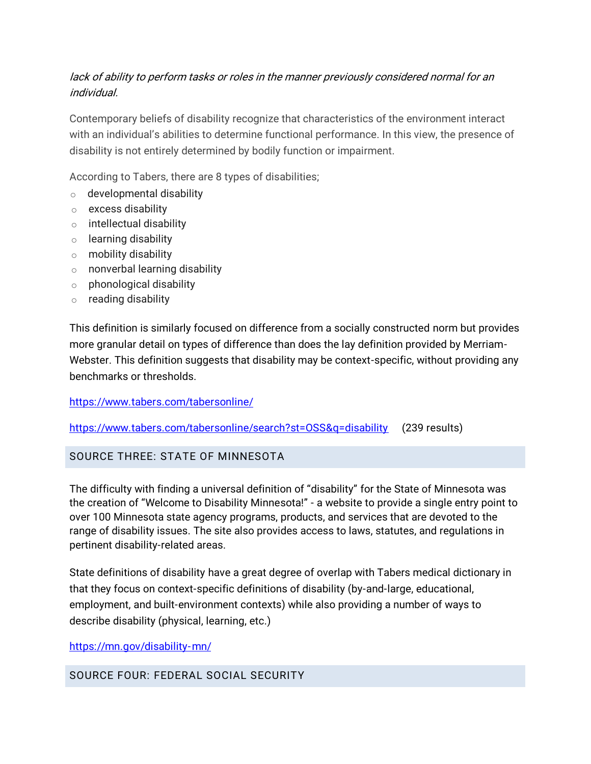## lack of ability to perform tasks or roles in the manner previously considered normal for an individual.

Contemporary beliefs of disability recognize that characteristics of the environment interact with an individual's abilities to determine functional performance. In this view, the presence of disability is not entirely determined by bodily function or impairment.

According to Tabers, there are 8 types of disabilities;

- o [developmental disability](https://www.tabers.com/tabersonline/view/Tabers-Dictionary/751845/all/disability?q=disability#1)
- o [excess disability](https://www.tabers.com/tabersonline/view/Tabers-Dictionary/751845/all/disability?q=disability#2)
- o [intellectual disability](https://www.tabers.com/tabersonline/view/Tabers-Dictionary/751845/all/disability?q=disability#3)
- o [learning disability](https://www.tabers.com/tabersonline/view/Tabers-Dictionary/751845/all/disability?q=disability#4)
- o [mobility disability](https://www.tabers.com/tabersonline/view/Tabers-Dictionary/751845/all/disability?q=disability#5)
- o [nonverbal learning disability](https://www.tabers.com/tabersonline/view/Tabers-Dictionary/751845/all/disability?q=disability#6)
- $\circ$  [phonological disability](https://www.tabers.com/tabersonline/view/Tabers-Dictionary/751845/all/disability?q=disability#7)
- o [reading disability](https://www.tabers.com/tabersonline/view/Tabers-Dictionary/751845/all/disability?q=disability#8)

This definition is similarly focused on difference from a socially constructed norm but provides more granular detail on types of difference than does the lay definition provided by Merriam-Webster. This definition suggests that disability may be context-specific, without providing any benchmarks or thresholds.

#### <https://www.tabers.com/tabersonline/>

<https://www.tabers.com/tabersonline/search?st=OSS&q=disability>(239 results)

#### SOURCE THREE: STATE OF MINNESOTA

The difficulty with finding a universal definition of "disability" for the State of Minnesota was the creation of "Welcome to Disability Minnesota!" - a website to provide a single entry point to over 100 Minnesota state agency programs, products, and services that are devoted to the range of disability issues. The site also provides access to laws, statutes, and regulations in pertinent disability-related areas.

State definitions of disability have a great degree of overlap with Tabers medical dictionary in that they focus on context-specific definitions of disability (by-and-large, educational, employment, and built-environment contexts) while also providing a number of ways to describe disability (physical, learning, etc.)

<https://mn.gov/disability-mn/>

SOURCE FOUR: FEDERAL SOCIAL SECURITY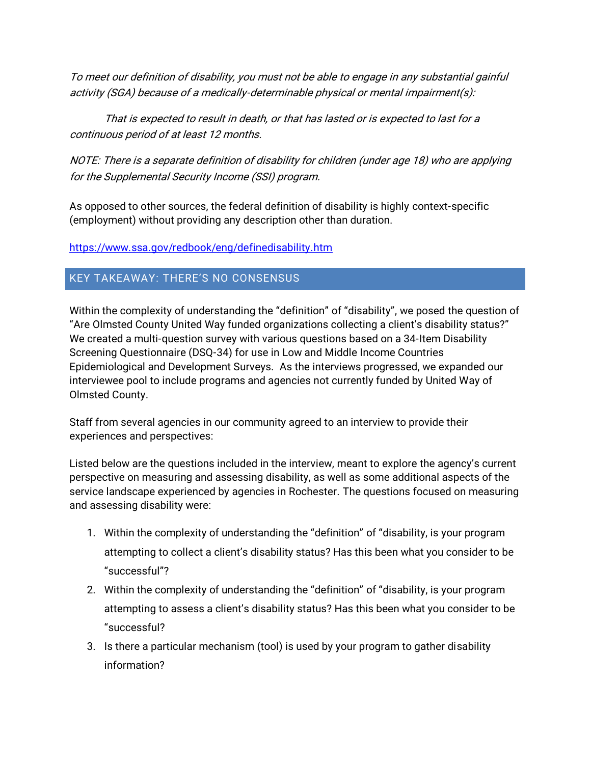To meet our definition of disability, you must not be able to engage in any substantial gainful activity (SGA) because of a medically-determinable physical or mental impairment(s):

That is expected to result in death, or that has lasted or is expected to last for a continuous period of at least 12 months.

NOTE: There is a separate definition of disability for children (under age 18) who are applying for the Supplemental Security Income (SSI) program.

As opposed to other sources, the federal definition of disability is highly context-specific (employment) without providing any description other than duration.

<https://www.ssa.gov/redbook/eng/definedisability.htm>

## KEY TAKEAWAY: THERE'S NO CONSENSUS

Within the complexity of understanding the "definition" of "disability", we posed the question of "Are Olmsted County United Way funded organizations collecting a client's disability status?" We created a multi-question survey with various questions based on a 34-Item Disability Screening Questionnaire (DSQ-34) for use in Low and Middle Income Countries Epidemiological and Development Surveys. As the interviews progressed, we expanded our interviewee pool to include programs and agencies not currently funded by United Way of Olmsted County.

Staff from several agencies in our community agreed to an interview to provide their experiences and perspectives:

Listed below are the questions included in the interview, meant to explore the agency's current perspective on measuring and assessing disability, as well as some additional aspects of the service landscape experienced by agencies in Rochester. The questions focused on measuring and assessing disability were:

- 1. Within the complexity of understanding the "definition" of "disability, is your program attempting to collect a client's disability status? Has this been what you consider to be "successful"?
- 2. Within the complexity of understanding the "definition" of "disability, is your program attempting to assess a client's disability status? Has this been what you consider to be "successful?
- 3. Is there a particular mechanism (tool) is used by your program to gather disability information?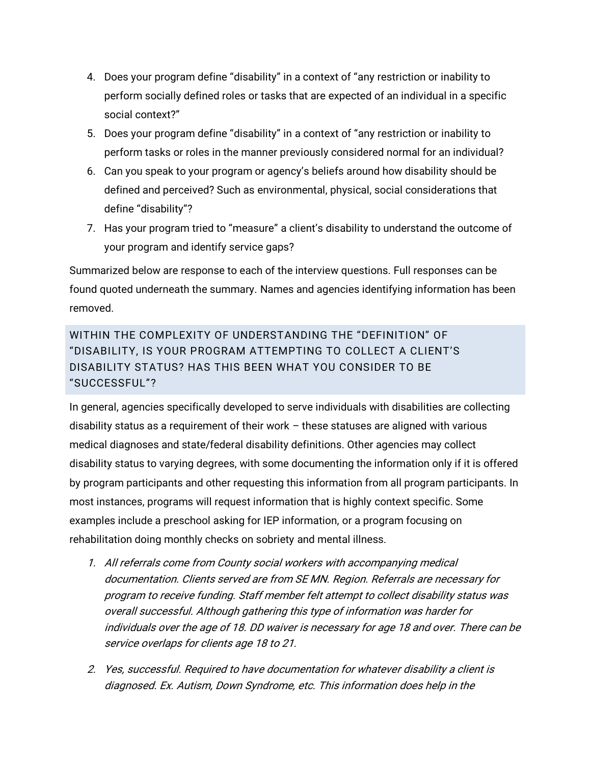- 4. Does your program define "disability" in a context of "any restriction or inability to perform socially defined roles or tasks that are expected of an individual in a specific social context?"
- 5. Does your program define "disability" in a context of "any restriction or inability to perform tasks or roles in the manner previously considered normal for an individual?
- 6. Can you speak to your program or agency's beliefs around how disability should be defined and perceived? Such as environmental, physical, social considerations that define "disability"?
- 7. Has your program tried to "measure" a client's disability to understand the outcome of your program and identify service gaps?

Summarized below are response to each of the interview questions. Full responses can be found quoted underneath the summary. Names and agencies identifying information has been removed.

## WITHIN THE COMPLEXITY OF UNDERSTANDING THE "DEFINITION" OF "DISABILITY, IS YOUR PROGRAM ATTEMPTING TO COLLECT A CLIENT'S DISABILITY STATUS? HAS THIS BEEN WHAT YOU CONSIDER TO BE "SUCCESSFUL"?

In general, agencies specifically developed to serve individuals with disabilities are collecting disability status as a requirement of their work – these statuses are aligned with various medical diagnoses and state/federal disability definitions. Other agencies may collect disability status to varying degrees, with some documenting the information only if it is offered by program participants and other requesting this information from all program participants. In most instances, programs will request information that is highly context specific. Some examples include a preschool asking for IEP information, or a program focusing on rehabilitation doing monthly checks on sobriety and mental illness.

- 1. All referrals come from County social workers with accompanying medical documentation. Clients served are from SE MN. Region. Referrals are necessary for program to receive funding. Staff member felt attempt to collect disability status was overall successful. Although gathering this type of information was harder for individuals over the age of 18. DD waiver is necessary for age 18 and over. There can be service overlaps for clients age 18 to 21.
- 2. Yes, successful. Required to have documentation for whatever disability a client is diagnosed. Ex. Autism, Down Syndrome, etc. This information does help in the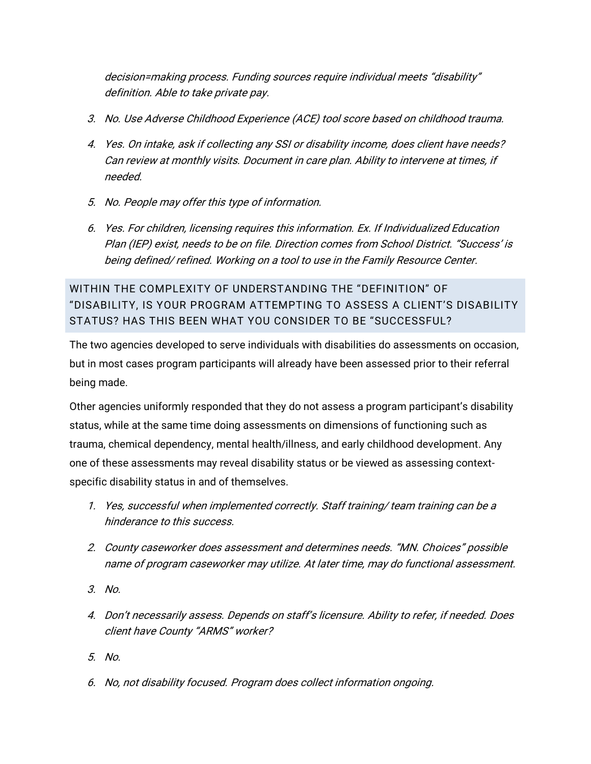decision=making process. Funding sources require individual meets "disability" definition. Able to take private pay.

- 3. No. Use Adverse Childhood Experience (ACE) tool score based on childhood trauma.
- 4. Yes. On intake, ask if collecting any SSI or disability income, does client have needs? Can review at monthly visits. Document in care plan. Ability to intervene at times, if needed.
- 5. No. People may offer this type of information.
- 6. Yes. For children, licensing requires this information. Ex. If Individualized Education Plan (IEP) exist, needs to be on file. Direction comes from School District. "Success' is being defined/ refined. Working on a tool to use in the Family Resource Center.

WITHIN THE COMPLEXITY OF UNDERSTANDING THE "DEFINITION" OF "DISABILITY, IS YOUR PROGRAM ATTEMPTING TO ASSESS A CLIENT'S DISABILITY STATUS? HAS THIS BEEN WHAT YOU CONSIDER TO BE "SUCCESSFUL?

The two agencies developed to serve individuals with disabilities do assessments on occasion, but in most cases program participants will already have been assessed prior to their referral being made.

Other agencies uniformly responded that they do not assess a program participant's disability status, while at the same time doing assessments on dimensions of functioning such as trauma, chemical dependency, mental health/illness, and early childhood development. Any one of these assessments may reveal disability status or be viewed as assessing contextspecific disability status in and of themselves.

- 1. Yes, successful when implemented correctly. Staff training/ team training can be a hinderance to this success.
- 2. County caseworker does assessment and determines needs. "MN. Choices" possible name of program caseworker may utilize. At later time, may do functional assessment.
- 3. No.
- 4. Don't necessarily assess. Depends on staff's licensure. Ability to refer, if needed. Does client have County "ARMS" worker?
- 5. No.
- 6. No, not disability focused. Program does collect information ongoing.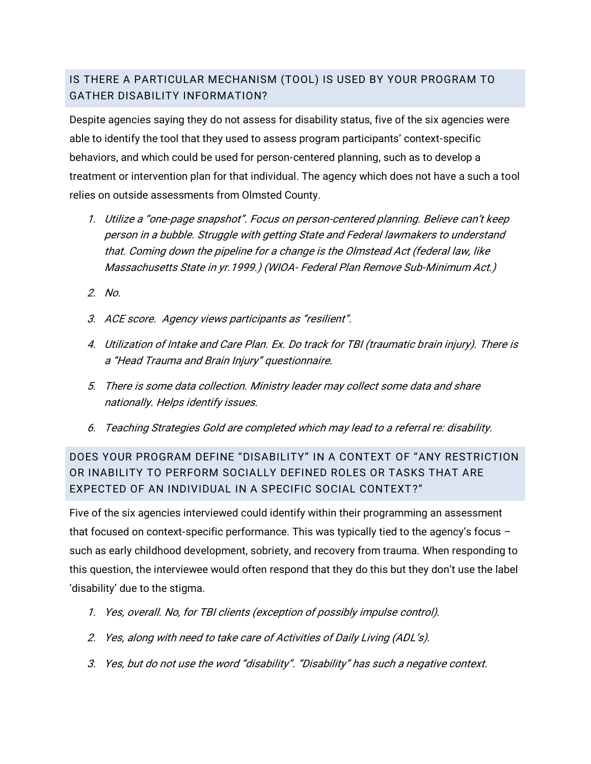## IS THERE A PARTICULAR MECHANISM (TOOL) IS USED BY YOUR PROGRAM TO GATHER DISABILITY INFORMATION?

Despite agencies saying they do not assess for disability status, five of the six agencies were able to identify the tool that they used to assess program participants' context-specific behaviors, and which could be used for person-centered planning, such as to develop a treatment or intervention plan for that individual. The agency which does not have a such a tool relies on outside assessments from Olmsted County.

- 1. Utilize a "one-page snapshot". Focus on person-centered planning. Believe can't keep person in a bubble. Struggle with getting State and Federal lawmakers to understand that. Coming down the pipeline for a change is the Olmstead Act (federal law, like Massachusetts State in yr.1999.) (WIOA- Federal Plan Remove Sub-Minimum Act.)
- 2. No.
- 3. ACE score. Agency views participants as "resilient".
- 4. Utilization of Intake and Care Plan. Ex. Do track for TBI (traumatic brain injury). There is <sup>a</sup>"Head Trauma and Brain Injury" questionnaire.
- 5. There is some data collection. Ministry leader may collect some data and share nationally. Helps identify issues.
- 6. Teaching Strategies Gold are completed which may lead to a referral re: disability.

DOES YOUR PROGRAM DEFINE "DISABILITY" IN A CONTEXT OF "ANY RESTRICTION OR INABILITY TO PERFORM SOCIALLY DEFINED ROLES OR TASKS THAT ARE EXPECTED OF AN INDIVIDUAL IN A SPECIFIC SOCIAL CONTEXT?"

Five of the six agencies interviewed could identify within their programming an assessment that focused on context-specific performance. This was typically tied to the agency's focus – such as early childhood development, sobriety, and recovery from trauma. When responding to this question, the interviewee would often respond that they do this but they don't use the label 'disability' due to the stigma.

- 1. Yes, overall. No, for TBI clients (exception of possibly impulse control).
- 2. Yes, along with need to take care of Activities of Daily Living (ADL's).
- 3. Yes, but do not use the word "disability". "Disability" has such a negative context.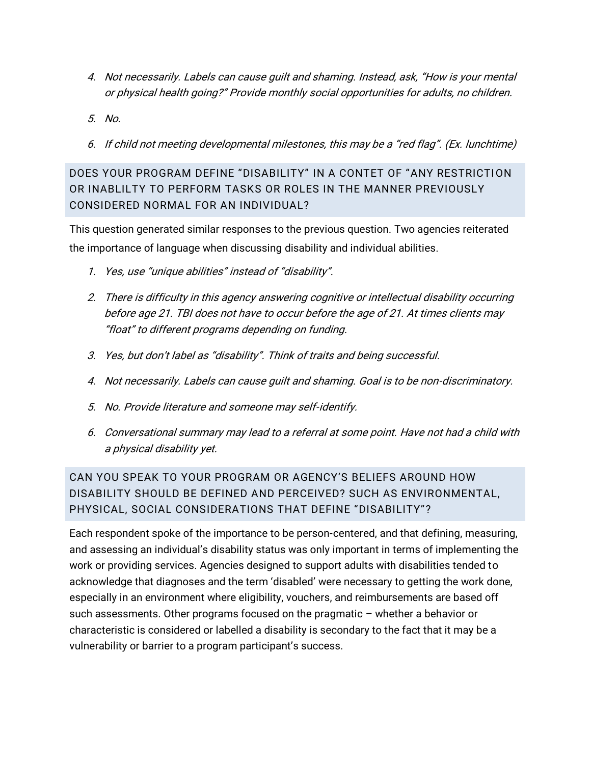- 4. Not necessarily. Labels can cause guilt and shaming. Instead, ask, "How is your mental or physical health going?" Provide monthly social opportunities for adults, no children.
- 5. No.
- 6. If child not meeting developmental milestones, this may be a "red flag". (Ex. lunchtime)

DOES YOUR PROGRAM DEFINE "DISABILITY" IN A CONTET OF "ANY RESTRICTION OR INABLILTY TO PERFORM TASKS OR ROLES IN THE MANNER PREVIOUSLY CONSIDERED NORMAL FOR AN INDIVIDUAL?

This question generated similar responses to the previous question. Two agencies reiterated the importance of language when discussing disability and individual abilities.

- 1. Yes, use "unique abilities" instead of "disability".
- 2. There is difficulty in this agency answering cognitive or intellectual disability occurring before age 21. TBI does not have to occur before the age of 21. At times clients may "float" to different programs depending on funding.
- 3. Yes, but don't label as "disability". Think of traits and being successful.
- 4. Not necessarily. Labels can cause guilt and shaming. Goal is to be non-discriminatory.
- 5. No. Provide literature and someone may self-identify.
- 6. Conversational summary may lead to a referral at some point. Have not had a child with a physical disability yet.

CAN YOU SPEAK TO YOUR PROGRAM OR AGENCY'S BELIEFS AROUND HOW DISABILITY SHOULD BE DEFINED AND PERCEIVED? SUCH AS ENVIRONMENTAL, PHYSICAL, SOCIAL CONSIDERATIONS THAT DEFINE "DISABILITY"?

Each respondent spoke of the importance to be person-centered, and that defining, measuring, and assessing an individual's disability status was only important in terms of implementing the work or providing services. Agencies designed to support adults with disabilities tended to acknowledge that diagnoses and the term 'disabled' were necessary to getting the work done, especially in an environment where eligibility, vouchers, and reimbursements are based off such assessments. Other programs focused on the pragmatic – whether a behavior or characteristic is considered or labelled a disability is secondary to the fact that it may be a vulnerability or barrier to a program participant's success.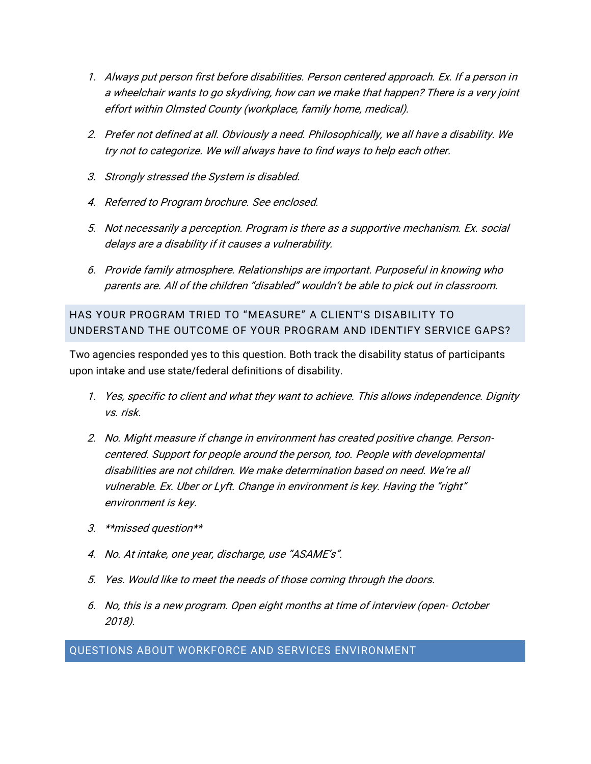- 1. Always put person first before disabilities. Person centered approach. Ex. If a person in a wheelchair wants to go skydiving, how can we make that happen? There is a very joint effort within Olmsted County (workplace, family home, medical).
- 2. Prefer not defined at all. Obviously a need. Philosophically, we all have a disability. We try not to categorize. We will always have to find ways to help each other.
- 3. Strongly stressed the System is disabled.
- 4. Referred to Program brochure. See enclosed.
- 5. Not necessarily a perception. Program is there as a supportive mechanism. Ex. social delays are a disability if it causes a vulnerability.
- 6. Provide family atmosphere. Relationships are important. Purposeful in knowing who parents are. All of the children "disabled" wouldn't be able to pick out in classroom.

HAS YOUR PROGRAM TRIED TO "MEASURE" A CLIENT'S DISABILITY TO UNDERSTAND THE OUTCOME OF YOUR PROGRAM AND IDENTIFY SERVICE GAPS?

Two agencies responded yes to this question. Both track the disability status of participants upon intake and use state/federal definitions of disability.

- 1. Yes, specific to client and what they want to achieve. This allows independence. Dignity vs. risk.
- 2. No. Might measure if change in environment has created positive change. Personcentered. Support for people around the person, too. People with developmental disabilities are not children. We make determination based on need. We're all vulnerable. Ex. Uber or Lyft. Change in environment is key. Having the "right" environment is key.
- 3. \*\*missed question\*\*
- 4. No. At intake, one year, discharge, use "ASAME's".
- 5. Yes. Would like to meet the needs of those coming through the doors.
- 6. No, this is a new program. Open eight months at time of interview (open- October 2018).

QUESTIONS ABOUT WORKFORCE AND SERVICES ENVIRONMENT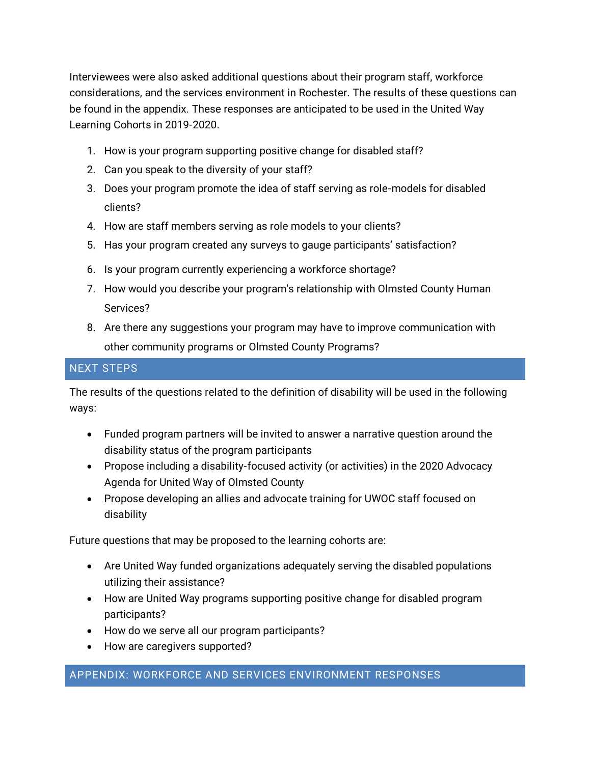Interviewees were also asked additional questions about their program staff, workforce considerations, and the services environment in Rochester. The results of these questions can be found in the appendix. These responses are anticipated to be used in the United Way Learning Cohorts in 2019-2020.

- 1. How is your program supporting positive change for disabled staff?
- 2. Can you speak to the diversity of your staff?
- 3. Does your program promote the idea of staff serving as role-models for disabled clients?
- 4. How are staff members serving as role models to your clients?
- 5. Has your program created any surveys to gauge participants' satisfaction?
- 6. Is your program currently experiencing a workforce shortage?
- 7. How would you describe your program's relationship with Olmsted County Human Services?
- 8. Are there any suggestions your program may have to improve communication with other community programs or Olmsted County Programs?

### NEXT STEPS

The results of the questions related to the definition of disability will be used in the following ways:

- Funded program partners will be invited to answer a narrative question around the disability status of the program participants
- Propose including a disability-focused activity (or activities) in the 2020 Advocacy Agenda for United Way of Olmsted County
- Propose developing an allies and advocate training for UWOC staff focused on disability

Future questions that may be proposed to the learning cohorts are:

- Are United Way funded organizations adequately serving the disabled populations utilizing their assistance?
- How are United Way programs supporting positive change for disabled program participants?
- How do we serve all our program participants?
- How are caregivers supported?

#### APPENDIX: WORKFORCE AND SERVICES ENVIRONMENT RESPONSES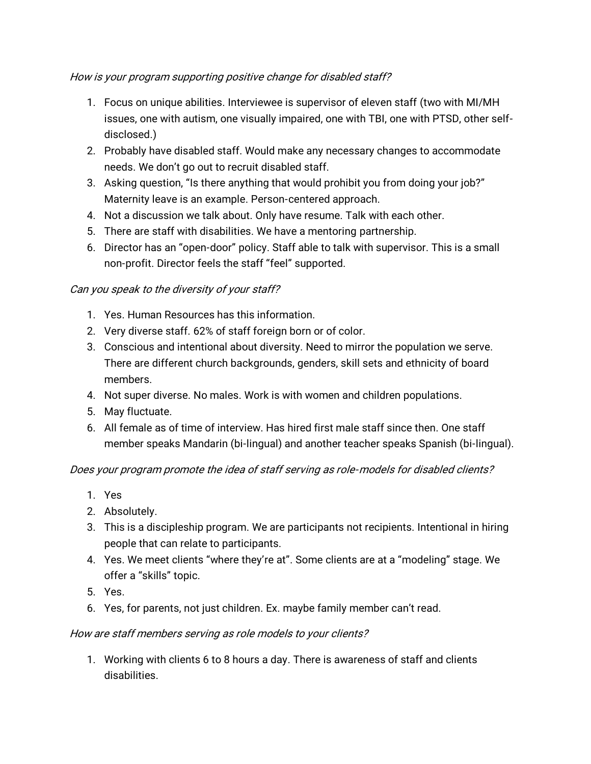## How is your program supporting positive change for disabled staff?

- 1. Focus on unique abilities. Interviewee is supervisor of eleven staff (two with MI/MH issues, one with autism, one visually impaired, one with TBI, one with PTSD, other selfdisclosed.)
- 2. Probably have disabled staff. Would make any necessary changes to accommodate needs. We don't go out to recruit disabled staff.
- 3. Asking question, "Is there anything that would prohibit you from doing your job?" Maternity leave is an example. Person-centered approach.
- 4. Not a discussion we talk about. Only have resume. Talk with each other.
- 5. There are staff with disabilities. We have a mentoring partnership.
- 6. Director has an "open-door" policy. Staff able to talk with supervisor. This is a small non-profit. Director feels the staff "feel" supported.

## Can you speak to the diversity of your staff?

- 1. Yes. Human Resources has this information.
- 2. Very diverse staff. 62% of staff foreign born or of color.
- 3. Conscious and intentional about diversity. Need to mirror the population we serve. There are different church backgrounds, genders, skill sets and ethnicity of board members.
- 4. Not super diverse. No males. Work is with women and children populations.
- 5. May fluctuate.
- 6. All female as of time of interview. Has hired first male staff since then. One staff member speaks Mandarin (bi-lingual) and another teacher speaks Spanish (bi-lingual).

## Does your program promote the idea of staff serving as role-models for disabled clients?

- 1. Yes
- 2. Absolutely.
- 3. This is a discipleship program. We are participants not recipients. Intentional in hiring people that can relate to participants.
- 4. Yes. We meet clients "where they're at". Some clients are at a "modeling" stage. We offer a "skills" topic.
- 5. Yes.
- 6. Yes, for parents, not just children. Ex. maybe family member can't read.

#### How are staff members serving as role models to your clients?

1. Working with clients 6 to 8 hours a day. There is awareness of staff and clients disabilities.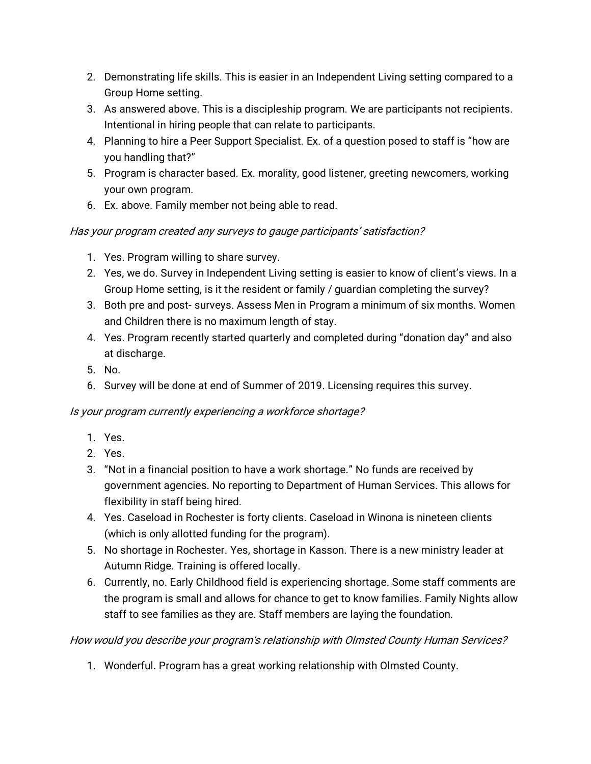- 2. Demonstrating life skills. This is easier in an Independent Living setting compared to a Group Home setting.
- 3. As answered above. This is a discipleship program. We are participants not recipients. Intentional in hiring people that can relate to participants.
- 4. Planning to hire a Peer Support Specialist. Ex. of a question posed to staff is "how are you handling that?"
- 5. Program is character based. Ex. morality, good listener, greeting newcomers, working your own program.
- 6. Ex. above. Family member not being able to read.

## Has your program created any surveys to gauge participants' satisfaction?

- 1. Yes. Program willing to share survey.
- 2. Yes, we do. Survey in Independent Living setting is easier to know of client's views. In a Group Home setting, is it the resident or family / guardian completing the survey?
- 3. Both pre and post- surveys. Assess Men in Program a minimum of six months. Women and Children there is no maximum length of stay.
- 4. Yes. Program recently started quarterly and completed during "donation day" and also at discharge.
- 5. No.
- 6. Survey will be done at end of Summer of 2019. Licensing requires this survey.

## Is your program currently experiencing a workforce shortage?

- 1. Yes.
- 2. Yes.
- 3. "Not in a financial position to have a work shortage." No funds are received by government agencies. No reporting to Department of Human Services. This allows for flexibility in staff being hired.
- 4. Yes. Caseload in Rochester is forty clients. Caseload in Winona is nineteen clients (which is only allotted funding for the program).
- 5. No shortage in Rochester. Yes, shortage in Kasson. There is a new ministry leader at Autumn Ridge. Training is offered locally.
- 6. Currently, no. Early Childhood field is experiencing shortage. Some staff comments are the program is small and allows for chance to get to know families. Family Nights allow staff to see families as they are. Staff members are laying the foundation.

How would you describe your program's relationship with Olmsted County Human Services?

1. Wonderful. Program has a great working relationship with Olmsted County.